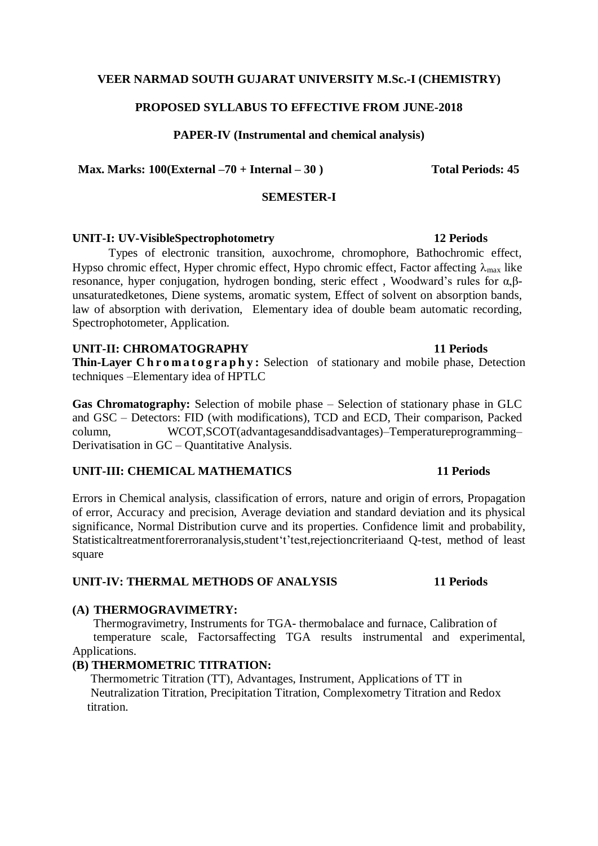# **VEER NARMAD SOUTH GUJARAT UNIVERSITY M.Sc.-I (CHEMISTRY)**

# **PROPOSED SYLLABUS TO EFFECTIVE FROM JUNE-2018**

# **PAPER-IV (Instrumental and chemical analysis)**

**Max. Marks: 100(External –70 + Internal – 30 ) Total Periods: 45**

## **SEMESTER-I**

## **UNIT-I: UV-VisibleSpectrophotometry 12 Periods**

Types of electronic transition, auxochrome, chromophore, Bathochromic effect, Hypso chromic effect, Hyper chromic effect, Hypo chromic effect, Factor affecting  $\lambda_{\text{max}}$  like resonance, hyper conjugation, hydrogen bonding, steric effect , Woodward's rules for α,βunsaturatedketones, Diene systems, aromatic system, Effect of solvent on absorption bands, law of absorption with derivation, Elementary idea of double beam automatic recording, Spectrophotometer, Application.

# **UNIT-II: CHROMATOGRAPHY 11 Periods**

**Thin-Layer Chromatography:** Selection of stationary and mobile phase, Detection techniques –Elementary idea of HPTLC

**Gas Chromatography:** Selection of mobile phase – Selection of stationary phase in GLC and GSC – Detectors: FID (with modifications), TCD and ECD, Their comparison, Packed column, WCOT,SCOT(advantagesanddisadvantages)–Temperatureprogramming– Derivatisation in GC – Quantitative Analysis.

# **UNIT-III: CHEMICAL MATHEMATICS 11 Periods**

Errors in Chemical analysis, classification of errors, nature and origin of errors, Propagation of error, Accuracy and precision, Average deviation and standard deviation and its physical significance, Normal Distribution curve and its properties. Confidence limit and probability, Statisticaltreatmentforerroranalysis,student't'test,rejectioncriteriaand Q-test, method of least square

# **UNIT-IV: THERMAL METHODS OF ANALYSIS 11 Periods**

# **(A) THERMOGRAVIMETRY:**

 Thermogravimetry, Instruments for TGA- thermobalace and furnace, Calibration of temperature scale, Factorsaffecting TGA results instrumental and experimental, Applications.

# **(B) THERMOMETRIC TITRATION:**

 Thermometric Titration (TT), Advantages, Instrument, Applications of TT in Neutralization Titration, Precipitation Titration, Complexometry Titration and Redox titration.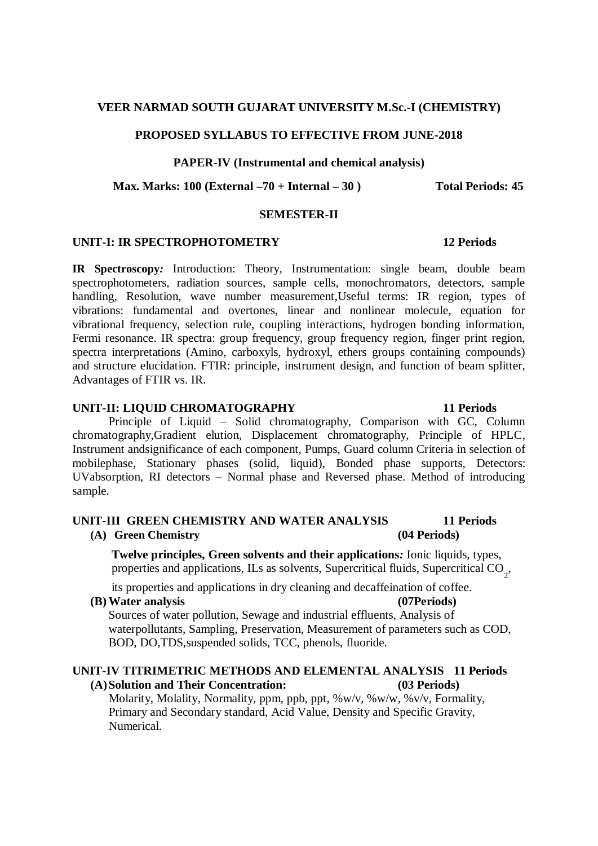## **VEER NARMAD SOUTH GUJARAT UNIVERSITY M.Sc.-I (CHEMISTRY)**

# **PROPOSED SYLLABUS TO EFFECTIVE FROM JUNE-2018**

### **PAPER-IV (Instrumental and chemical analysis)**

 **Max. Marks: 100 (External –70 + Internal – 30 ) Total Periods: 45**

## **SEMESTER-II**

### **UNIT-I: IR SPECTROPHOTOMETRY 12 Periods**

**IR Spectroscopy***:* Introduction: Theory, Instrumentation: single beam, double beam spectrophotometers, radiation sources, sample cells, monochromators, detectors, sample handling, Resolution, wave number measurement,Useful terms: IR region, types of vibrations: fundamental and overtones, linear and nonlinear molecule, equation for vibrational frequency, selection rule, coupling interactions, hydrogen bonding information, Fermi resonance. IR spectra: group frequency, group frequency region, finger print region, spectra interpretations (Amino, carboxyls, hydroxyl, ethers groups containing compounds) and structure elucidation. FTIR: principle, instrument design, and function of beam splitter, Advantages of FTIR vs. IR.

## **UNIT-II: LIQUID CHROMATOGRAPHY 11 Periods**

Principle of Liquid – Solid chromatography, Comparison with GC, Column chromatography,Gradient elution, Displacement chromatography, Principle of HPLC, Instrument andsignificance of each component, Pumps, Guard column Criteria in selection of mobilephase, Stationary phases (solid, liquid), Bonded phase supports, Detectors: UVabsorption, RI detectors – Normal phase and Reversed phase. Method of introducing sample.

## **UNIT-III GREEN CHEMISTRY AND WATER ANALYSIS 11 Periods (A) Green Chemistry (04 Periods)**

 **Twelve principles, Green solvents and their applications***:* Ionic liquids, types, properties and applications, ILs as solvents, Supercritical fluids, Supercritical CO<sub>2</sub>,

its properties and applications in dry cleaning and decaffeination of coffee.

## **(B)Water analysis (07Periods)**

Sources of water pollution, Sewage and industrial effluents, Analysis of waterpollutants, Sampling, Preservation, Measurement of parameters such as COD, BOD, DO,TDS,suspended solids, TCC, phenols, fluoride.

## **UNIT-IV TITRIMETRIC METHODS AND ELEMENTAL ANALYSIS 11 Periods (A)Solution and Their Concentration: (03 Periods)**

Molarity, Molality, Normality, ppm, ppb, ppt,  $\% w/v$ ,  $\% w/w$ ,  $\% v/v$ , Formality, Primary and Secondary standard, Acid Value, Density and Specific Gravity, Numerical.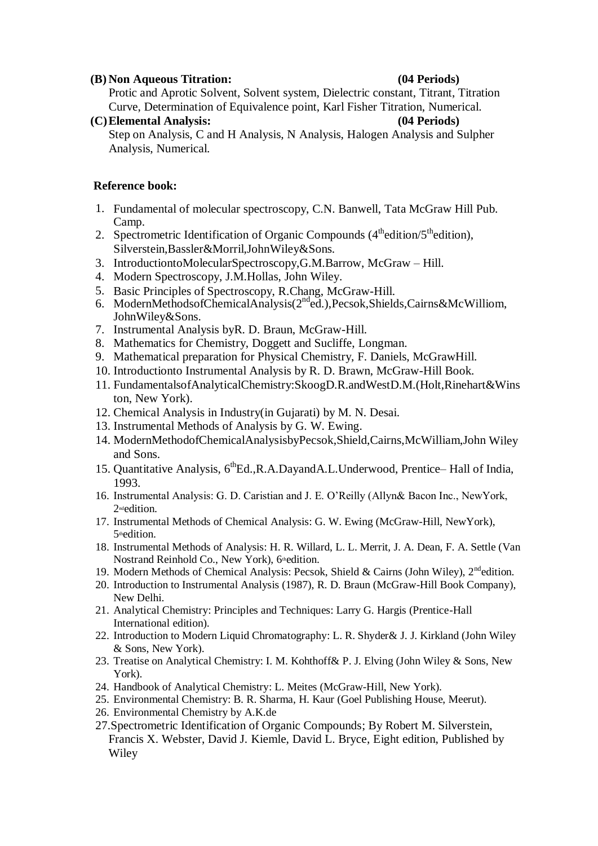# **(B) Non Aqueous Titration: (04 Periods)**

 Protic and Aprotic Solvent, Solvent system, Dielectric constant, Titrant, Titration Curve, Determination of Equivalence point, Karl Fisher Titration, Numerical.

# **(C)Elemental Analysis: (04 Periods)**

 Step on Analysis, C and H Analysis, N Analysis, Halogen Analysis and Sulpher Analysis, Numerical.

# **Reference book:**

- 1. Fundamental of molecular spectroscopy, C.N. Banwell, Tata McGraw Hill Pub. Camp.
- 2. Spectrometric Identification of Organic Compounds  $(4^{\text{th}}$ edition/ $5^{\text{th}}$ edition), Silverstein,Bassler&Morril,JohnWiley&Sons.
- 3. IntroductiontoMolecularSpectroscopy,G.M.Barrow, McGraw Hill.
- 4. Modern Spectroscopy, J.M.Hollas, John Wiley.
- 5. Basic Principles of Spectroscopy, R.Chang, McGraw-Hill.
- 6. ModernMethodsofChemicalAnalysis(2<sup>nd</sup>ed.),Pecsok,Shields,Cairns&McWilliom, JohnWiley&Sons.
- 7. Instrumental Analysis byR. D. Braun, McGraw-Hill.
- 8. Mathematics for Chemistry, Doggett and Sucliffe, Longman.
- 9. Mathematical preparation for Physical Chemistry, F. Daniels, McGrawHill.
- 10. Introductionto Instrumental Analysis by R. D. Brawn, McGraw-Hill Book.
- 11. FundamentalsofAnalyticalChemistry:SkoogD.R.andWestD.M.(Holt,Rinehart&Wins ton, New York).
- 12. Chemical Analysis in Industry(in Gujarati) by M. N. Desai.
- 13. Instrumental Methods of Analysis by G. W. Ewing.
- 14. ModernMethodofChemicalAnalysisbyPecsok,Shield,Cairns,McWilliam,John Wiley and Sons.
- 15. Quantitative Analysis, 6<sup>th</sup>Ed., R.A.DayandA.L.Underwood, Prentice-Hall of India, 1993.
- 16. Instrumental Analysis: G. D. Caristian and J. E. O'Reilly (Allyn& Bacon Inc., NewYork, 2<sup>nd</sup>edition.
- 17. Instrumental Methods of Chemical Analysis: G. W. Ewing (McGraw-Hill, NewYork), 5thedition.
- 18. Instrumental Methods of Analysis: H. R. Willard, L. L. Merrit, J. A. Dean, F. A. Settle (Van Nostrand Reinhold Co., New York), 6<sup>th</sup>edition.
- 19. Modern Methods of Chemical Analysis: Pecsok, Shield & Cairns (John Wiley), 2ndedition.
- 20. Introduction to Instrumental Analysis (1987), R. D. Braun (McGraw-Hill Book Company), New Delhi.
- 21. Analytical Chemistry: Principles and Techniques: Larry G. Hargis (Prentice-Hall International edition).
- 22. Introduction to Modern Liquid Chromatography: L. R. Shyder& J. J. Kirkland (John Wiley & Sons, New York).
- 23. Treatise on Analytical Chemistry: I. M. Kohthoff& P. J. Elving (John Wiley & Sons, New York).
- 24. Handbook of Analytical Chemistry: L. Meites (McGraw-Hill, New York).
- 25. Environmental Chemistry: B. R. Sharma, H. Kaur (Goel Publishing House, Meerut).
- 26. Environmental Chemistry by A.K.de
- 27.Spectrometric Identification of Organic Compounds; By Robert M. Silverstein, Francis X. Webster, David J. Kiemle, David L. Bryce, Eight edition, Published by Wiley